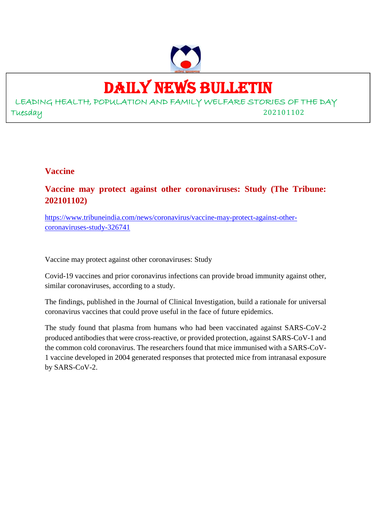

# DAILY NEWS BULLETIN

LEADING HEALTH, POPULATION AND FAMILY WELFARE STORIES OF THE DAY Tuesday 202101102

# **Vaccine**

**Vaccine may protect against other coronaviruses: Study (The Tribune: 202101102)**

https://www.tribuneindia.com/news/coronavirus/vaccine-may-protect-against-othercoronaviruses-study-326741

Vaccine may protect against other coronaviruses: Study

Covid-19 vaccines and prior coronavirus infections can provide broad immunity against other, similar coronaviruses, according to a study.

The findings, published in the Journal of Clinical Investigation, build a rationale for universal coronavirus vaccines that could prove useful in the face of future epidemics.

The study found that plasma from humans who had been vaccinated against SARS-CoV-2 produced antibodies that were cross-reactive, or provided protection, against SARS-CoV-1 and the common cold coronavirus. The researchers found that mice immunised with a SARS-CoV-1 vaccine developed in 2004 generated responses that protected mice from intranasal exposure by SARS-CoV-2.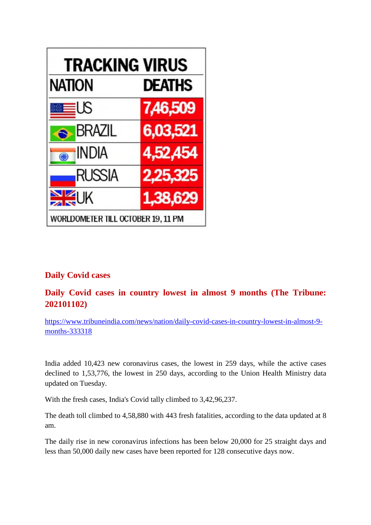

# **Daily Covid cases**

# **Daily Covid cases in country lowest in almost 9 months (The Tribune: 202101102)**

https://www.tribuneindia.com/news/nation/daily-covid-cases-in-country-lowest-in-almost-9 months-333318

India added 10,423 new coronavirus cases, the lowest in 259 days, while the active cases declined to 1,53,776, the lowest in 250 days, according to the Union Health Ministry data updated on Tuesday.

With the fresh cases, India's Covid tally climbed to 3,42,96,237.

The death toll climbed to 4,58,880 with 443 fresh fatalities, according to the data updated at 8 am.

The daily rise in new coronavirus infections has been below 20,000 for 25 straight days and less than 50,000 daily new cases have been reported for 128 consecutive days now.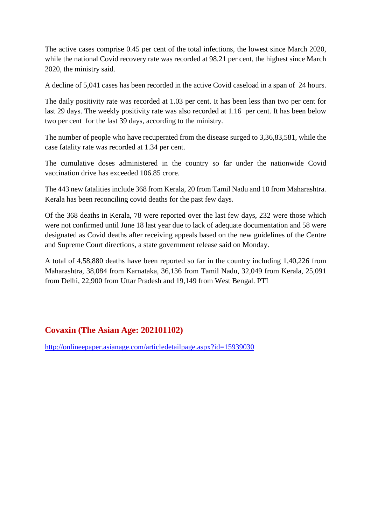The active cases comprise 0.45 per cent of the total infections, the lowest since March 2020, while the national Covid recovery rate was recorded at 98.21 per cent, the highest since March 2020, the ministry said.

A decline of 5,041 cases has been recorded in the active Covid caseload in a span of 24 hours.

The daily positivity rate was recorded at 1.03 per cent. It has been less than two per cent for last 29 days. The weekly positivity rate was also recorded at 1.16 per cent. It has been below two per cent for the last 39 days, according to the ministry.

The number of people who have recuperated from the disease surged to 3,36,83,581, while the case fatality rate was recorded at 1.34 per cent.

The cumulative doses administered in the country so far under the nationwide Covid vaccination drive has exceeded 106.85 crore.

The 443 new fatalities include 368 from Kerala, 20 from Tamil Nadu and 10 from Maharashtra. Kerala has been reconciling covid deaths for the past few days.

Of the 368 deaths in Kerala, 78 were reported over the last few days, 232 were those which were not confirmed until June 18 last year due to lack of adequate documentation and 58 were designated as Covid deaths after receiving appeals based on the new guidelines of the Centre and Supreme Court directions, a state government release said on Monday.

A total of 4,58,880 deaths have been reported so far in the country including 1,40,226 from Maharashtra, 38,084 from Karnataka, 36,136 from Tamil Nadu, 32,049 from Kerala, 25,091 from Delhi, 22,900 from Uttar Pradesh and 19,149 from West Bengal. PTI

# **Covaxin (The Asian Age: 202101102)**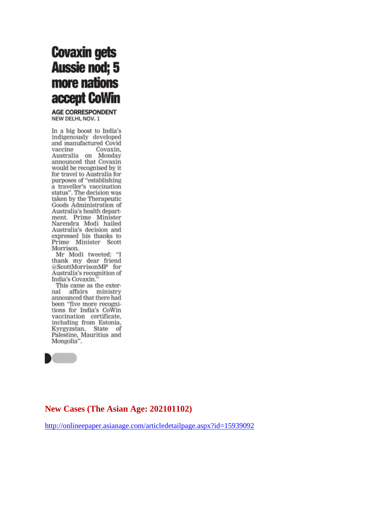# **Covaxin gets Aussie nod; 5** more nations accept CoWin

**AGE CORRESPONDENT** NEW DELHI, NOV. 1

In a big boost to India's indigenously developed and manufactured Covid vaccine Covaxin, Australia on Monday announced that Covaxin would be recognised by it for travel to Australia for purposes of "establishing a traveller's vaccination status". The decision was<br>taken by the Therapeutic Goods Administration of Australia's health department. Prime Minister Narendra Modi hailed Australia's decision and expressed his thanks to Prime Minister Scott Morrison.

Mr Modi tweeted: "I thank my dear friend @ScottMorrisonMP for Australia's recognition of India's Covaxin.

This came as the external affairs ministry announced that there had been "five more recogni-<br>tions for India's CoWin vaccination certificate, including from Estonia, Kyrgyzstan, State of Palestine, Mauritius and Mongolia".



# **New Cases (The Asian Age: 202101102)**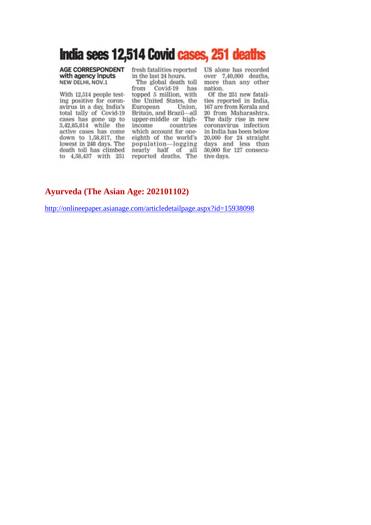# India sees 12,514 Covid cases, 251 deaths

### AGE CORRESPONDENT with agency inputs NEW DELHI, NOV.1

With 12,514 people testing positive for coronavirus in a day, India's total tally of Covid-19 cases has gone up to 3,42,85,814 while the active cases has come down to 1,58,817, the<br>lowest in 248 days. The death toll has climbed to 4,58,437 with 251

fresh fatalities reported in the last 24 hours.

The global death toll from Covid-19 has<br>topped 5 million, with the United States, the Union. European Britain, and Brazil-all upper-middle or highincome countries which account for oneeighth of the world's population—logging days and<br>nearly half of all 50,000 for<br>reported deaths. The tive days.

US alone has recorded over 7,40,000 deaths, more than any other nation.

Of the 251 new fatalities reported in India. 167 are from Kerala and 20 from Maharashtra. The daily rise in new coronavirus infection in India has been below  $20,000$  for  $24$  straight days and less than 50,000 for 127 consecu-

# **Ayurveda (The Asian Age: 202101102)**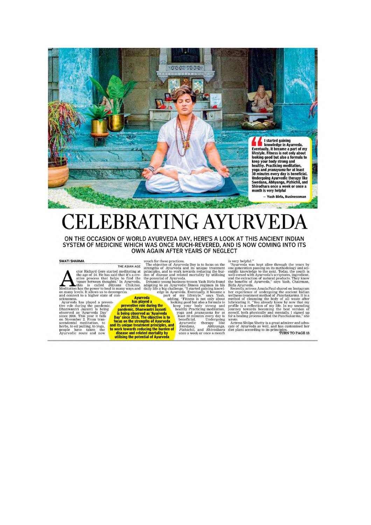

## **EBRATING AYU** E. H

ON THE OCCASION OF WORLD AYURVEDA DAY, HERE'S A LOOK AT THIS ANCIENT INDIAN SYSTEM OF MEDICINE WHICH WAS ONCE MUCH-REVERED, AND IS NOW COMING INTO ITS OWN AGAIN AFTER YEARS OF NEGLECT

**SWATI SHARMA**<br>
THE ASIAN AGE TO the strengths of Ayurvedia Day is to focus on the<br>
tor Richard Gere started meditating at principles, and to work towards reduced<br>
the age of 24. He has said that it's a cre- den of diseas

is very helpful."<br>
"'Ayurveda was kept alive through the years by<br>
"'Ayurveda was kept alive throughology and sci-<br>
energation passing on its methodology and sci-<br>
entific knowledge to the next. Today, the youth is<br>
well-

for a healing process causes.<br>Wrote, Actress Shilpa Shetty is a great admirer and advocate of Ayurveda as well, and has customised her<br>diet plans according to its principles.<br>TURN TO PAGE 13

play since *caus*, ine objective is to<br>not consider the strengths of Ayurveda<br>and its unique treatment principles, and<br>to work towards reducing the burden of<br>disease and related mortality by<br>utilising the potential of Ayur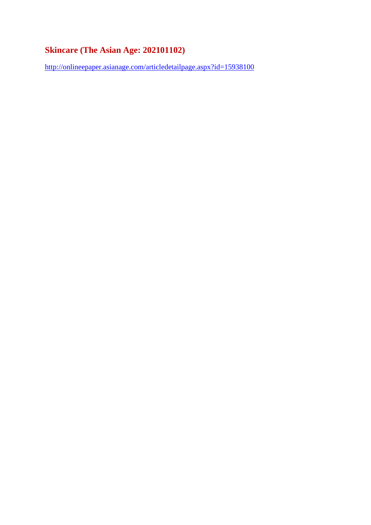# **Skincare (The Asian Age: 202101102)**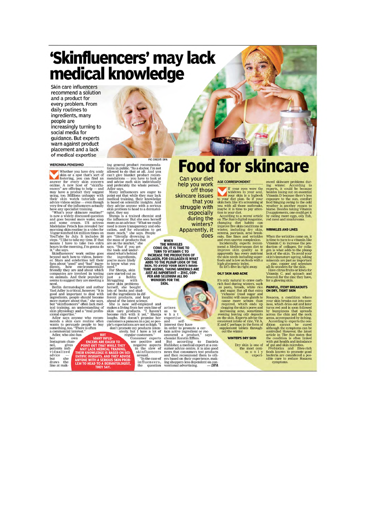# 'Skinfluencers' may lack medical knowledge

Skin care influencers recommend a solution and a product for every problem. From daily routines to ingredients, many people are increasingly turning to social media for guidance. But experts warn against product placement and a lack of medical expertise

#### **WERONIKA PENESHKO**

Whether you have dry, scaly<br>scale that a spot that's sort of<br>answer for every skin concern<br>online. A new host of "skinflu-<br>energy" skin concern<br>energy" are offering to help — and<br>may have a product they suggest<br>ating too.

arbive videos conline—even thought and<br>very few of the influencers actually have any specialist training.<br>The same synchrometers actually shown a widely discussed question and some creans. One are some and some cream. US

seems to suggest they are meeting a<br>neems to suggest they are meeting a<br>perih dermatologist and author<br>Yael Adler is critical, however. Ti is<br>noted and important to deal with in<br>more mature about that, " she says, but "ski

Adler, who also has

her own<br>Instagram chanmstagram cham<br>nel, gives<br>patients indi-<br>vidualized<br>advice —<br>but she<br>draws the<br>line at makCREDIT: DPA

For case<br>on-<br>tions in public. "As a doctor, I'm not<br>allowed to do that at all. And you<br>can't give blanket product recom-<br>mendations – you have to look at<br>and advise each skin individually<br>and preferably the whole person,"<br>

skin problem to head to a dermatologist, they say<br>also a dermatologist, they say to a dermatologist, the influence: But she sees hereal<br>meet is a trained chemist and<br>more as an advisor. "What we really<br>need is more transpa

**Food for skincare** Can your diet AGE CORRESPONDENT help you work off those

53

skincare issues that you

**AGE CORRESPONDENT**<br> **METALLY TO THE STATE OF THE WARD WARD WARD WARD SO SO THE SURFACTION SO SO THE SURFACT SOUT SOME THAT MOVE that the may be it is time to pay attention to your detition for the Surfact and the accordin** 

### **OILY SKIN AND ACNE**

**OILY SKIN AND ACHE**<br>The only natural to crave carb-<br>rich food during winters, such as pasta, by<br>each of crave carbing in the same such and sugar. But all that extra<br>richness' (read sugar and masum) will cause game from<br>ca out the winter.

#### **WINTER'S DRY SKIN**

 $\begin{array}{c} \mbox{Dry skin is one of}\\ \mbox{the most com-}\\ \mbox{m\ o\ n\ l\ y}\\ \mbox{experi-} \end{array}$ 

enced skincare problems during winter. According to<br>experts, it could be because<br>besides losing out on essential<br>Vitamin D because there's less<br>exposure to the sun, comfort<br>frost proposition for the sun, comfort<br>because th by eating more eggs, oily fish,<br>red meat and mushrooms.

#### **WRINKLES AND LINES**

WRINKLES AND LINES come on, it<br>is then winkles come on, it<br>is time to turn to a vitamin like<br>vitamin C to increase the pro-<br>gene is what adds to the plump of collagen, for collagen<br>gen is what adds to the plump solar signa

# **PAINFUL, ITCHY BREAKOUTS<br>ON DRY, TIGHT SKIN**

**ON DRY, TIGHT SKIN**<br>Rosace, a condition where<br>gosee, a condition where<br>your skin breaks out into sore-<br>ness, which dries out and later<br>turns reed and is soon followed<br>by bumpiness that spreads<br>across the chinal and the ne



THE POINT MANY INC. THE POINT OF THE POINT ON THAT WILL POINT THAT WILL BE A MANY INC. THE RANGE OF SACTOR OF SCHOOL SAME PROBABLY AND THE V ADVISE ANY ONE CHAPTER STAND THE V ADVISE AND THEY ADVISE AND THE V ADVISE AND TH regular customers guar customers."<br>
Consumer experts<br>
see positive and<br>
negative aspects<br>
in the slew of<br>
skinfluencers<br>
and share

around.<br>
"In the case of<br>
influencers,<br>
the question

during the winters? Apparently, it does

says

Daniela

**EXAMPLE THE WRINKLES**<br> **EXAMPLE THE WRINKLES**<br>
COME ON, IT IS TIME TO<br>
INCREASE THE PRODUCTION OF<br>
INCREASE THE PRODUCTION<br>
ADDS TO THE PLUMP LOOK OF THE<br>
ADDS TO THE PLUMP LOOK OF THE<br>
TURE AGEING, TAKING MINERALS ARE<br>
J



chemist kerstim Etters, and a succeeding to Daniela<br>Hubloher, a medical expert at a con-<br>sumer advice centre, it is also good<br>sumer advice centre, it is also good<br>and then recommend them to oth-<br>ers based on their experie

arises  $\frac{a}{\text{as}}$  t<br>wha expertise<br>and se

# struggle with especially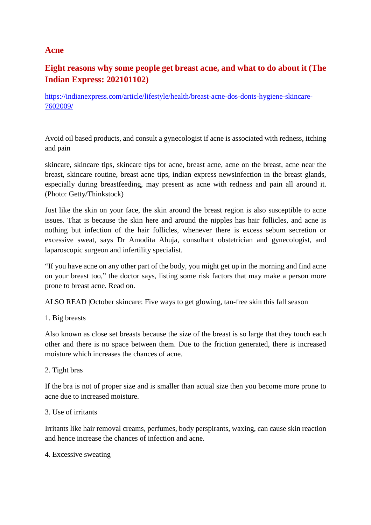# **Acne**

# **Eight reasons why some people get breast acne, and what to do about it (The Indian Express: 202101102)**

https://indianexpress.com/article/lifestyle/health/breast-acne-dos-donts-hygiene-skincare-7602009/

Avoid oil based products, and consult a gynecologist if acne is associated with redness, itching and pain

skincare, skincare tips, skincare tips for acne, breast acne, acne on the breast, acne near the breast, skincare routine, breast acne tips, indian express newsInfection in the breast glands, especially during breastfeeding, may present as acne with redness and pain all around it. (Photo: Getty/Thinkstock)

Just like the skin on your face, the skin around the breast region is also susceptible to acne issues. That is because the skin here and around the nipples has hair follicles, and acne is nothing but infection of the hair follicles, whenever there is excess sebum secretion or excessive sweat, says Dr Amodita Ahuja, consultant obstetrician and gynecologist, and laparoscopic surgeon and infertility specialist.

"If you have acne on any other part of the body, you might get up in the morning and find acne on your breast too," the doctor says, listing some risk factors that may make a person more prone to breast acne. Read on.

ALSO READ |October skincare: Five ways to get glowing, tan-free skin this fall season

## 1. Big breasts

Also known as close set breasts because the size of the breast is so large that they touch each other and there is no space between them. Due to the friction generated, there is increased moisture which increases the chances of acne.

## 2. Tight bras

If the bra is not of proper size and is smaller than actual size then you become more prone to acne due to increased moisture.

### 3. Use of irritants

Irritants like hair removal creams, perfumes, body perspirants, waxing, can cause skin reaction and hence increase the chances of infection and acne.

### 4. Excessive sweating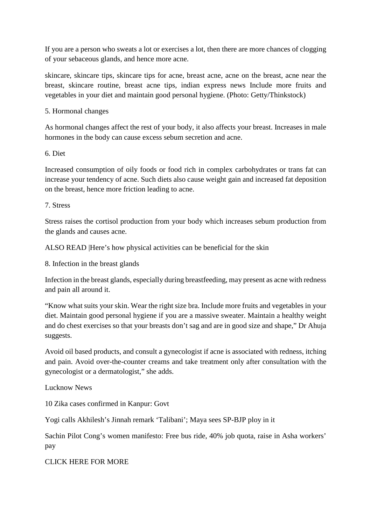If you are a person who sweats a lot or exercises a lot, then there are more chances of clogging of your sebaceous glands, and hence more acne.

skincare, skincare tips, skincare tips for acne, breast acne, acne on the breast, acne near the breast, skincare routine, breast acne tips, indian express news Include more fruits and vegetables in your diet and maintain good personal hygiene. (Photo: Getty/Thinkstock)

5. Hormonal changes

As hormonal changes affect the rest of your body, it also affects your breast. Increases in male hormones in the body can cause excess sebum secretion and acne.

6. Diet

Increased consumption of oily foods or food rich in complex carbohydrates or trans fat can increase your tendency of acne. Such diets also cause weight gain and increased fat deposition on the breast, hence more friction leading to acne.

7. Stress

Stress raises the cortisol production from your body which increases sebum production from the glands and causes acne.

ALSO READ |Here's how physical activities can be beneficial for the skin

8. Infection in the breast glands

Infection in the breast glands, especially during breastfeeding, may present as acne with redness and pain all around it.

"Know what suits your skin. Wear the right size bra. Include more fruits and vegetables in your diet. Maintain good personal hygiene if you are a massive sweater. Maintain a healthy weight and do chest exercises so that your breasts don't sag and are in good size and shape," Dr Ahuja suggests.

Avoid oil based products, and consult a gynecologist if acne is associated with redness, itching and pain. Avoid over-the-counter creams and take treatment only after consultation with the gynecologist or a dermatologist," she adds.

Lucknow News

10 Zika cases confirmed in Kanpur: Govt

Yogi calls Akhilesh's Jinnah remark 'Talibani'; Maya sees SP-BJP ploy in it

Sachin Pilot Cong's women manifesto: Free bus ride, 40% job quota, raise in Asha workers' pay

CLICK HERE FOR MORE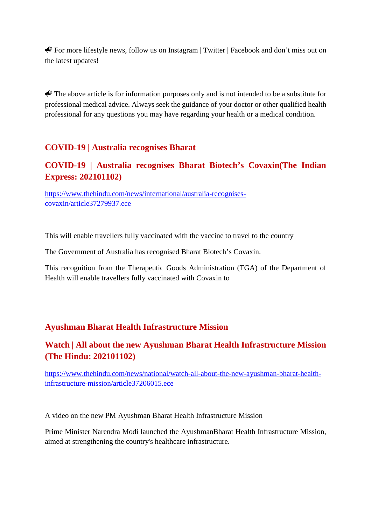For more lifestyle news, follow us on Instagram | Twitter | Facebook and don't miss out on the latest updates!

 $\bigotimes$  The above article is for information purposes only and is not intended to be a substitute for professional medical advice. Always seek the guidance of your doctor or other qualified health professional for any questions you may have regarding your health or a medical condition.

# **COVID-19 | Australia recognises Bharat**

# **COVID-19 | Australia recognises Bharat Biotech's Covaxin(The Indian Express: 202101102)**

https://www.thehindu.com/news/international/australia-recognisescovaxin/article37279937.ece

This will enable travellers fully vaccinated with the vaccine to travel to the country

The Government of Australia has recognised Bharat Biotech's Covaxin.

This recognition from the Therapeutic Goods Administration (TGA) of the Department of Health will enable travellers fully vaccinated with Covaxin to

# **Ayushman Bharat Health Infrastructure Mission**

# **Watch | All about the new Ayushman Bharat Health Infrastructure Mission (The Hindu: 202101102)**

https://www.thehindu.com/news/national/watch-all-about-the-new-ayushman-bharat-healthinfrastructure-mission/article37206015.ece

A video on the new PM Ayushman Bharat Health Infrastructure Mission

Prime Minister Narendra Modi launched the AyushmanBharat Health Infrastructure Mission, aimed at strengthening the country's healthcare infrastructure.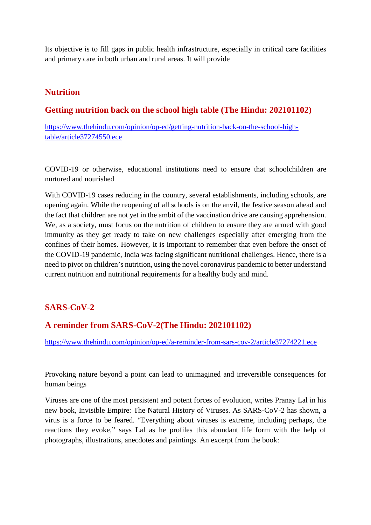Its objective is to fill gaps in public health infrastructure, especially in critical care facilities and primary care in both urban and rural areas. It will provide

# **Nutrition**

# **Getting nutrition back on the school high table (The Hindu: 202101102)**

https://www.thehindu.com/opinion/op-ed/getting-nutrition-back-on-the-school-hightable/article37274550.ece

COVID-19 or otherwise, educational institutions need to ensure that schoolchildren are nurtured and nourished

With COVID-19 cases reducing in the country, several establishments, including schools, are opening again. While the reopening of all schools is on the anvil, the festive season ahead and the fact that children are not yet in the ambit of the vaccination drive are causing apprehension. We, as a society, must focus on the nutrition of children to ensure they are armed with good immunity as they get ready to take on new challenges especially after emerging from the confines of their homes. However, It is important to remember that even before the onset of the COVID-19 pandemic, India was facing significant nutritional challenges. Hence, there is a need to pivot on children's nutrition, using the novel coronavirus pandemic to better understand current nutrition and nutritional requirements for a healthy body and mind.

# **SARS-CoV-2**

# **A reminder from SARS-CoV-2(The Hindu: 202101102)**

https://www.thehindu.com/opinion/op-ed/a-reminder-from-sars-cov-2/article37274221.ece

Provoking nature beyond a point can lead to unimagined and irreversible consequences for human beings

Viruses are one of the most persistent and potent forces of evolution, writes Pranay Lal in his new book, Invisible Empire: The Natural History of Viruses. As SARS-CoV-2 has shown, a virus is a force to be feared. "Everything about viruses is extreme, including perhaps, the reactions they evoke," says Lal as he profiles this abundant life form with the help of photographs, illustrations, anecdotes and paintings. An excerpt from the book: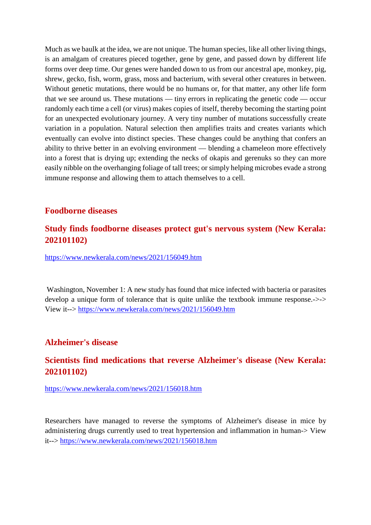Much as we baulk at the idea, we are not unique. The human species, like all other living things, is an amalgam of creatures pieced together, gene by gene, and passed down by different life forms over deep time. Our genes were handed down to us from our ancestral ape, monkey, pig, shrew, gecko, fish, worm, grass, moss and bacterium, with several other creatures in between. Without genetic mutations, there would be no humans or, for that matter, any other life form that we see around us. These mutations — tiny errors in replicating the genetic code — occur randomly each time a cell (or virus) makes copies of itself, thereby becoming the starting point for an unexpected evolutionary journey. A very tiny number of mutations successfully create variation in a population. Natural selection then amplifies traits and creates variants which eventually can evolve into distinct species. These changes could be anything that confers an ability to thrive better in an evolving environment — blending a chameleon more effectively into a forest that is drying up; extending the necks of okapis and gerenuks so they can more easily nibble on the overhanging foliage of tall trees; or simply helping microbes evade a strong immune response and allowing them to attach themselves to a cell.

# **Foodborne diseases**

# **Study finds foodborne diseases protect gut's nervous system (New Kerala: 202101102)**

https://www.newkerala.com/news/2021/156049.htm

Washington, November 1: A new study has found that mice infected with bacteria or parasites develop a unique form of tolerance that is quite unlike the textbook immune response.->-> View it--> https://www.newkerala.com/news/2021/156049.htm

## **Alzheimer's disease**

# **Scientists find medications that reverse Alzheimer's disease (New Kerala: 202101102)**

https://www.newkerala.com/news/2021/156018.htm

Researchers have managed to reverse the symptoms of Alzheimer's disease in mice by administering drugs currently used to treat hypertension and inflammation in human-> View it--> https://www.newkerala.com/news/2021/156018.htm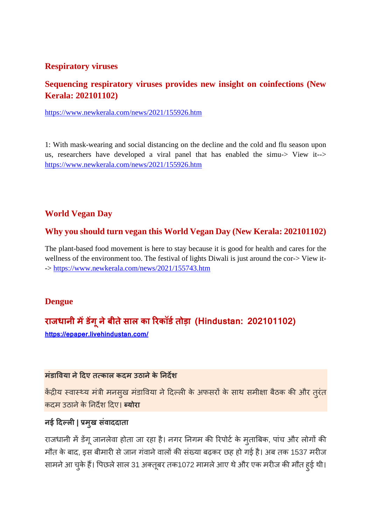# **Respiratory viruses**

# **Sequencing respiratory viruses provides new insight on coinfections (New Kerala: 202101102)**

https://www.newkerala.com/news/2021/155926.htm

1: With mask-wearing and social distancing on the decline and the cold and flu season upon us, researchers have developed a viral panel that has enabled the simu-> View it--> https://www.newkerala.com/news/2021/155926.htm

# **World Vegan Day**

# **Why you should turn vegan this World Vegan Day (New Kerala: 202101102)**

The plant-based food movement is here to stay because it is good for health and cares for the wellness of the environment too. The festival of lights Diwali is just around the cor-> View it- -> https://www.newkerala.com/news/2021/155743.htm

# **Dengue**

# **राजधानी मडग ू नेबीतेसाल का रकॉडतोड़ा (Hindustan: 202101102)**

**https://epaper.livehindustan.com/**

# **मंडावया नेदए तकाल कदम उठानेके नदश**

केंद्रीय स्वास्थ्य मंत्री मनसुख मंडाविया ने दिल्ली के अफसरों के साथ समीक्षा बैठक की और तुरंत कदम उठानेके नदश दए। **योरा**

# **नई दल| मुख संवाददाता**

राजधानी में डेंगू जानलेवा होता जा रहा है। नगर निगम की रिपोर्ट के मुताबिक, पांच और लोगों की मौत के बाद, इस बीमारी से जान गंवाने वालों की संख्या बढ़कर छह हो गई है। अब तक 1537 मरीज सामने आ चुके हैं। पिछले साल 31 अक्तूबर तक1072 मामले आए थे और एक मरीज की मौत हुई थी।